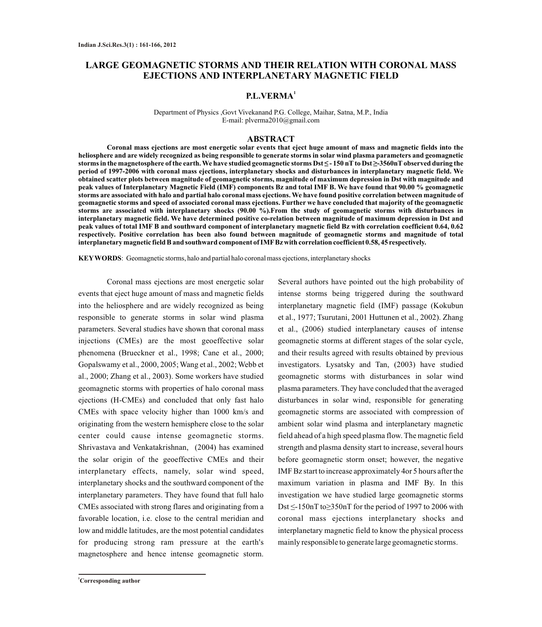# **LARGE GEOMAGNETIC STORMS AND THEIR RELATION WITH CORONAL MASS EJECTIONS AND INTERPLANETARY MAGNETIC FIELD**

## **1 P.L.VERMA**

Department of Physics ,Govt Vivekanand P.G. College, Maihar, Satna, M.P., India E-mail: plverma2010@gmail.com

### **ABSTRACT**

**Coronal mass ejections are most energetic solar events that eject huge amount of mass and magnetic fields into the heliosphere and are widely recognized as being responsible to generate storms in solar wind plasma parameters and geomagnetic**  storms in the magnetosphere of the earth. We have studied geomagnetic storms Dst ≤ - 150 nT to Dst ≥-3560nT observed during the **period of 1997-2006 with coronal mass ejections, interplanetary shocks and disturbances in interplanetary magnetic field. We obtained scatter plots between magnitude of geomagnetic storms, magnitude of maximum depression in Dst with magnitude and peak values of Interplanetary Magnetic Field (IMF) components Bz and total IMF B. We have found that 90.00 % geomagnetic storms are associated with halo and partial halo coronal mass ejections. We have found positive correlation between magnitude of geomagnetic storms and speed of associated coronal mass ejections. Further we have concluded that majority of the geomagnetic storms are associated with interplanetary shocks (90.00 %).From the study of geomagnetic storms with disturbances in interplanetary magnetic field. We have determined positive co-relation between magnitude of maximum depression in Dst and peak values of total IMF B and southward component of interplanetary magnetic field Bz with correlation coefficient 0.64, 0.62 respectively. Positive correlation has been also found between magnitude of geomagnetic storms and magnitude of total interplanetary magnetic field B and southward component of IMFBz with correlation coefficient 0.58, 45 respectively.**

**KEYWORDS**: Geomagnetic storms, halo and partial halo coronal mass ejections, interplanetary shocks

Coronal mass ejections are most energetic solar events that eject huge amount of mass and magnetic fields into the heliosphere and are widely recognized as being responsible to generate storms in solar wind plasma parameters. Several studies have shown that coronal mass injections (CMEs) are the most geoeffective solar phenomena (Brueckner et al., 1998; Cane et al., 2000; Gopalswamy et al., 2000, 2005; Wang et al., 2002; Webb et al., 2000; Zhang et al., 2003). Some workers have studied geomagnetic storms with properties of halo coronal mass ejections (H-CMEs) and concluded that only fast halo CMEs with space velocity higher than 1000 km/s and originating from the western hemisphere close to the solar center could cause intense geomagnetic storms. Shrivastava and Venkatakrishnan, (2004) has examined the solar origin of the geoeffective CMEs and their interplanetary effects, namely, solar wind speed, interplanetary shocks and the southward component of the interplanetary parameters. They have found that full halo CMEs associated with strong flares and originating from a favorable location, i.e. close to the central meridian and low and middle latitudes, are the most potential candidates for producing strong ram pressure at the earth's magnetosphere and hence intense geomagnetic storm.

interplanetary magnetic field (IMF) passage (Kokubun et al., 1977; Tsurutani, 2001 Huttunen et al., 2002). Zhang et al., (2006) studied interplanetary causes of intense geomagnetic storms at different stages of the solar cycle, and their results agreed with results obtained by previous investigators. Lysatsky and Tan, (2003) have studied geomagnetic storms with disturbances in solar wind plasma parameters. They have concluded that the averaged disturbances in solar wind, responsible for generating geomagnetic storms are associated with compression of ambient solar wind plasma and interplanetary magnetic field ahead of a high speed plasma flow. The magnetic field strength and plasma density start to increase, several hours before geomagnetic storm onset; however, the negative IMF Bz start to increase approximately 4or 5 hours after the maximum variation in plasma and IMF By. In this investigation we have studied large geomagnetic storms Dst  $\leq$ -150nT to $\geq$ 350nT for the period of 1997 to 2006 with coronal mass ejections interplanetary shocks and interplanetary magnetic field to know the physical process mainly responsible to generate large geomagnetic storms.

Several authors have pointed out the high probability of intense storms being triggered during the southward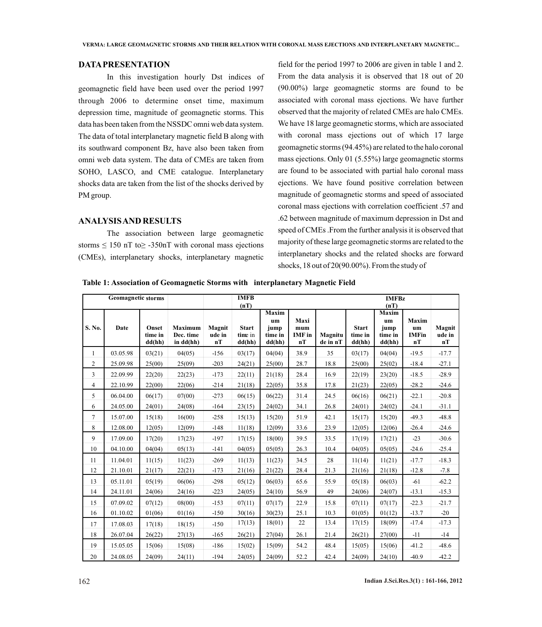#### **DATAPRESENTATION**

In this investigation hourly Dst indices of geomagnetic field have been used over the period 1997 through 2006 to determine onset time, maximum depression time, magnitude of geomagnetic storms. This data has been taken from the NSSDC omni web data system. The data of total interplanetary magnetic field B along with its southward component Bz, have also been taken from omni web data system. The data of CMEs are taken from SOHO, LASCO, and CME catalogue. Interplanetary shocks data are taken from the list of the shocks derived by PM group.

#### **ANALYSIS AND RESULTS**

The association between large geomagnetic storms  $\leq 150$  nT to $\geq -350$ nT with coronal mass ejections (CMEs), interplanetary shocks, interplanetary magnetic

field for the period 1997 to 2006 are given in table 1 and 2. From the data analysis it is observed that 18 out of 20 (90.00%) large geomagnetic storms are found to be associated with coronal mass ejections. We have further observed that the majority of related CMEs are halo CMEs. We have 18 large geomagnetic storms, which are associated with coronal mass ejections out of which 17 large geomagnetic storms (94.45%) are related to the halo coronal mass ejections. Only 01 (5.55%) large geomagnetic storms are found to be associated with partial halo coronal mass ejections. We have found positive correlation between magnitude of geomagnetic storms and speed of associated coronal mass ejections with correlation coefficient .57 and .62 between magnitude of maximum depression in Dst and speed of CMEs .From the further analysis it is observed that majority of these large geomagnetic storms are related to the interplanetary shocks and the related shocks are forward shocks, 18 out of 20(90.00%). From the study of

**Table 1: Association of Geomagnetic Storms with interplanetary Magnetic Field**

|                | <b>Geomagnetic storms</b> |                            | <b>IMFB</b>                                |                        |                                           |                                          |                                       |                     | <b>IMFBz</b>                      |                                                  |                                   |                        |
|----------------|---------------------------|----------------------------|--------------------------------------------|------------------------|-------------------------------------------|------------------------------------------|---------------------------------------|---------------------|-----------------------------------|--------------------------------------------------|-----------------------------------|------------------------|
| S. No.         | Date                      | Onset<br>time in<br>dd(hh) | <b>Maximum</b><br>Dec. time<br>in $dd(hh)$ | Magnit<br>ude in<br>nT | (nT)<br><b>Start</b><br>time in<br>dd(hh) | Maxim<br>um<br>jump<br>time in<br>dd(hh) | Maxi<br>$m$ um<br><b>IMF</b> in<br>nT | Magnitu<br>de in nT | <b>Start</b><br>time in<br>dd(hh) | (nT)<br>Maxim<br>um<br>jump<br>time in<br>dd(hh) | Maxim<br>um<br><b>IMFin</b><br>nT | Magnit<br>ude in<br>nT |
| $\mathbf{1}$   | 03.05.98                  | 03(21)                     | 04(05)                                     | $-156$                 | 03(17)                                    | 04(04)                                   | 38.9                                  | 35                  | 03(17)                            | 04(04)                                           | $-19.5$                           | $-17.7$                |
| $\overline{c}$ | 25.09.98                  | 25(00)                     | 25(09)                                     | $-203$                 | 24(21)                                    | 25(00)                                   | 28.7                                  | 18.8                | 25(00)                            | 25(02)                                           | $-18.4$                           | $-27.1$                |
| 3              | 22.09.99                  | 22(20)                     | 22(23)                                     | $-173$                 | 22(11)                                    | 21(18)                                   | 28.4                                  | 16.9                | 22(19)                            | 23(20)                                           | $-18.5$                           | $-28.9$                |
| 4              | 22.10.99                  | 22(00)                     | 22(06)                                     | $-214$                 | 21(18)                                    | 22(05)                                   | 35.8                                  | 17.8                | 21(23)                            | 22(05)                                           | $-28.2$                           | $-24.6$                |
| 5              | 06.04.00                  | 06(17)                     | 07(00)                                     | $-273$                 | 06(15)                                    | 06(22)                                   | 31.4                                  | 24.5                | 06(16)                            | 06(21)                                           | $-22.1$                           | $-20.8$                |
| 6              | 24.05.00                  | 24(01)                     | 24(08)                                     | $-164$                 | 23(15)                                    | 24(02)                                   | 34.1                                  | 26.8                | 24(01)                            | 24(02)                                           | $-24.1$                           | $-31.1$                |
| 7              | 15.07.00                  | 15(18)                     | 16(00)                                     | $-258$                 | 15(13)                                    | 15(20)                                   | 51.9                                  | 42.1                | 15(17)                            | 15(20)                                           | 49.3                              | 48.8                   |
| 8              | 12.08.00                  | 12(05)                     | 12(09)                                     | $-148$                 | 11(18)                                    | 12(09)                                   | 33.6                                  | 23.9                | 12(05)                            | 12(06)                                           | $-26.4$                           | $-24.6$                |
| 9              | 17.09.00                  | 17(20)                     | 17(23)                                     | $-197$                 | 17(15)                                    | 18(00)                                   | 39.5                                  | 33.5                | 17(19)                            | 17(21)                                           | $-23$                             | $-30.6$                |
| 10             | 04.10.00                  | 04(04)                     | 05(13)                                     | $-141$                 | 04(05)                                    | 05(05)                                   | 26.3                                  | 10.4                | 04(05)                            | 05(05)                                           | $-24.6$                           | $-25.4$                |
| 11             | 11.04.01                  | 11(15)                     | 11(23)                                     | $-269$                 | 11(13)                                    | 11(23)                                   | 34.5                                  | 28                  | 11(14)                            | 11(21)                                           | $-17.7$                           | $-18.3$                |
| 12             | 21.10.01                  | 21(17)                     | 22(21)                                     | $-173$                 | 21(16)                                    | 21(22)                                   | 28.4                                  | 21.3                | 21(16)                            | 21(18)                                           | $-12.8$                           | $-7.8$                 |
| 13             | 05.11.01                  | 05(19)                     | 06(06)                                     | $-298$                 | 05(12)                                    | 06(03)                                   | 65.6                                  | 55.9                | 05(18)                            | 06(03)                                           | $-61$                             | $-62.2$                |
| 14             | 24.11.01                  | 24(06)                     | 24(16)                                     | $-223$                 | 24(05)                                    | 24(10)                                   | 56.9                                  | 49                  | 24(06)                            | 24(07)                                           | $-13.1$                           | $-15.3$                |
| 15             | 07.09.02                  | 07(12)                     | 08(00)                                     | $-153$                 | 07(11)                                    | 07(17)                                   | 22.9                                  | 15.8                | 07(11)                            | 07(17)                                           | $-22.3$                           | $-21.7$                |
| 16             | 01.10.02                  | 01(06)                     | 01(16)                                     | $-150$                 | 30(16)                                    | 30(23)                                   | 25.1                                  | 10.3                | 01(05)                            | 01(12)                                           | $-13.7$                           | $-20$                  |
| 17             | 17.08.03                  | 17(18)                     | 18(15)                                     | $-150$                 | 17(13)                                    | 18(01)                                   | 22                                    | 13.4                | 17(15)                            | 18(09)                                           | $-17.4$                           | $-17.3$                |
| 18             | 26.07.04                  | 26(22)                     | 27(13)                                     | $-165$                 | 26(21)                                    | 27(04)                                   | 26.1                                  | 21.4                | 26(21)                            | 27(00)                                           | $-11$                             | $-14$                  |
| 19             | 15.05.05                  | 15(06)                     | 15(08)                                     | $-186$                 | 15(02)                                    | 15(09)                                   | 54.2                                  | 48.4                | 15(05)                            | 15(06)                                           | $-41.2$                           | 48.6                   |
| 20             | 24.08.05                  | 24(09)                     | 24(11)                                     | $-194$                 | 24(05)                                    | 24(09)                                   | 52.2                                  | 42.4                | 24(09)                            | 24(10)                                           | 40.9                              | $-42.2$                |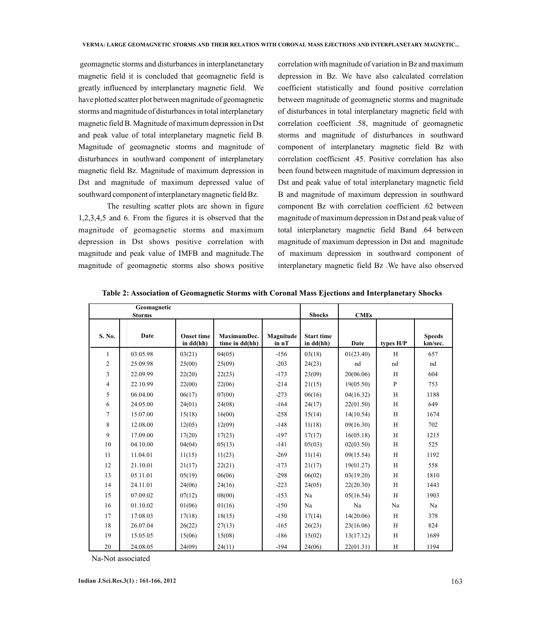geomagnetic storms and disturbances in interplanetanetary magnetic field it is concluded that geomagnetic field is greatly influenced by interplanetary magnetic field. We have plotted scatter plot between magnitude of geomagnetic storms and magnitude of disturbances in total interplanetary magnetic field B. Magnitude of maximum depression in Dst and peak value of total interplanetary magnetic field B. Magnitude of geomagnetic storms and magnitude of disturbances in southward component of interplanetary magnetic field Bz. Magnitude of maximum depression in Dst and magnitude of maximum depressed value of southward component of interplanetary magnetic field Bz.

The resulting scatter plots are shown in figure 1,2,3,4,5 and 6. From the figures it is observed that the magnitude of geomagnetic storms and maximum depression in Dst shows positive correlation with magnitude and peak value of IMFB and magnitude.The magnitude of geomagnetic storms also shows positive

correlation with magnitude of variation in Bz and maximum depression in Bz. We have also calculated correlation coefficient statistically and found positive correlation between magnitude of geomagnetic storms and magnitude of disturbances in total interplanetary magnetic field with correlation coefficient .58, magnitude of geomagnetic storms and magnitude of disturbances in southward component of interplanetary magnetic field Bz with correlation coefficient .45. Positive correlation has also been found between magnitude of maximum depression in Dst and peak value of total interplanetary magnetic field B and magnitude of maximum depression in southward component Bz with correlation coefficient .62 between magnitude of maximum depression in Dst and peak value of total interplanetary magnetic field Band .64 between magnitude of maximum depression in Dst and magnitude of maximum depression in southward component of interplanetary magnetic field Bz .We have also observed

|                | Geomagnetic<br><b>Storms</b> |                                | <b>Shocks</b>                 | <b>CMEs</b>        |                                |           |           |                          |
|----------------|------------------------------|--------------------------------|-------------------------------|--------------------|--------------------------------|-----------|-----------|--------------------------|
| S. No.         | Date                         | <b>Onset time</b><br>in dd(hh) | MaximumDec.<br>time in dd(hh) | Magnitude<br>in nT | <b>Start time</b><br>in dd(hh) | Date      | types H/P | <b>Speeds</b><br>km/sec. |
| 1              | 03.05.98                     | 03(21)                         | 04(05)                        | $-156$             | 03(18)                         | 01(23.40) | H         | 657                      |
| $\overline{c}$ | 25.09.98                     | 25(00)                         | 25(09)                        | $-203$             | 24(23)                         | nd        | nd        | nd                       |
| 3              | 22.09.99                     | 22(20)                         | 22(23)                        | $-173$             | 23(09)                         | 20(06.06) | H         | 604                      |
| $\overline{4}$ | 22.10.99                     | 22(00)                         | 22(06)                        | $-214$             | 21(15)                         | 19(05.50) | P         | 753                      |
| 5              | 06.04.00                     | 06(17)                         | 07(00)                        | $-273$             | 06(16)                         | 04(16.32) | H         | 1188                     |
| 6              | 24.05.00                     | 24(01)                         | 24(08)                        | $-164$             | 24(17)                         | 22(01.50) | H         | 649                      |
| $\tau$         | 15.07.00                     | 15(18)                         | 16(00)                        | $-258$             | 15(14)                         | 14(10.54) | H         | 1674                     |
| 8              | 12.08.00                     | 12(05)                         | 12(09)                        | $-148$             | 11(18)                         | 09(16.30) | H         | 702                      |
| 9              | 17.09.00                     | 17(20)                         | 17(23)                        | $-197$             | 17(17)                         | 16(05.18) | H         | 1215                     |
| 10             | 04.10.00                     | 04(04)                         | 05(13)                        | $-141$             | 05(03)                         | 02(03.50) | H         | 525                      |
| 11             | 11.04.01                     | 11(15)                         | 11(23)                        | $-269$             | 11(14)                         | 09(15.54) | H         | 1192                     |
| 12             | 21.10.01                     | 21(17)                         | 22(21)                        | $-173$             | 21(17)                         | 19(01.27) | H         | 558                      |
| 13             | 05.11.01                     | 05(19)                         | 06(06)                        | $-298$             | 06(02)                         | 03(19.20) | H         | 1810                     |
| 14             | 24.11.01                     | 24(06)                         | 24(16)                        | $-223$             | 24(05)                         | 22(20.30) | H         | 1443                     |
| 15             | 07.09.02                     | 07(12)                         | 08(00)                        | $-153$             | Na                             | 05(16.54) | H         | 1903                     |
| 16             | 01.10.02                     | 01(06)                         | 01(16)                        | $-150$             | Na                             | Na        | Na        | Na                       |
| 17             | 17.08.03                     | 17(18)                         | 18(15)                        | $-150$             | 17(14)                         | 14(20.06) | H         | 378                      |
| 18             | 26.07.04                     | 26(22)                         | 27(13)                        | $-165$             | 26(23)                         | 23(16.06) | H         | 824                      |
| 19             | 15.05.05                     | 15(06)                         | 15(08)                        | $-186$             | 15(02)                         | 13(17.12) | H         | 1689                     |
| 20             | 24.08.05                     | 24(09)                         | 24(11)                        | $-194$             | 24(06)                         | 22(01.31) | H         | 1194                     |

**Table 2: Association of Geomagnetic Storms with Coronal Mass Ejections and Interplanetary Shocks**

Na-Not associated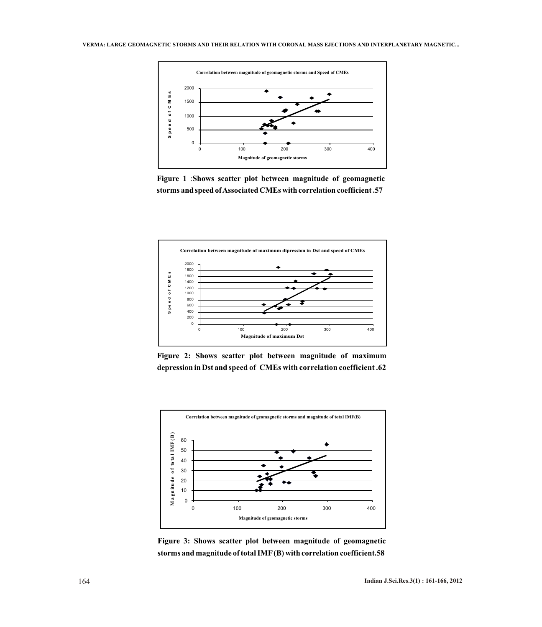

**Figure 1** :**Shows scatter plot between magnitude of geomagnetic storms and speed of Associated CMEs with correlation coefficient .57**



**Figure 2: Shows scatter plot between magnitude of maximum depression in Dst and speed of CMEs with correlation coefficient .62** 



**Figure 3: Shows scatter plot between magnitude of geomagnetic storms and magnitude of total IMF(B) with correlation coefficient.58**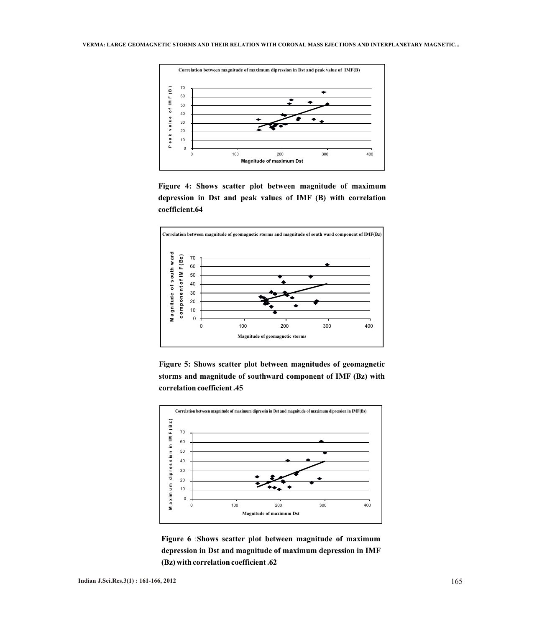

**Figure 4: Shows scatter plot between magnitude of maximum depression in Dst and peak values of IMF (B) with correlation coefficient.64**







**Figure 6** :**Shows scatter plot between magnitude of maximum depression in Dst and magnitude of maximum depression in IMF (Bz) with correlation coefficient .62**